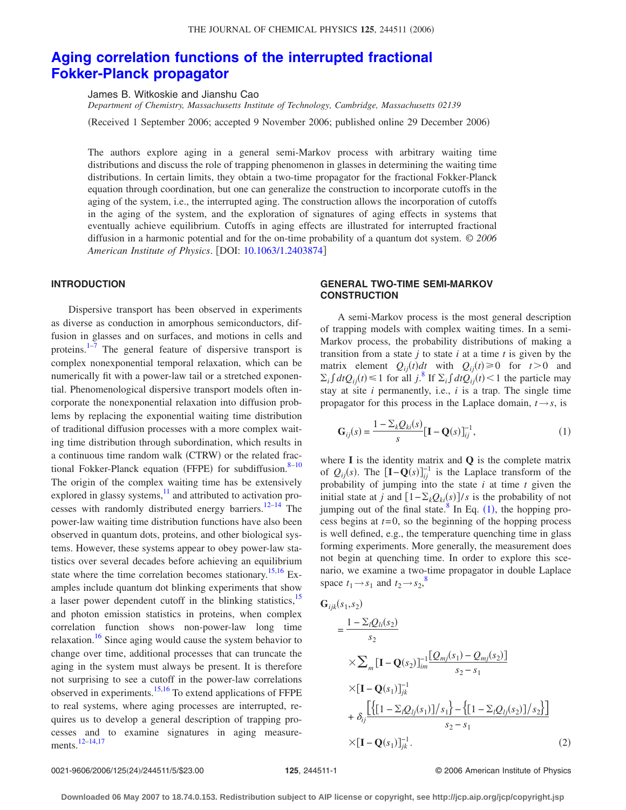# **[Aging correlation functions of the interrupted fractional](http://dx.doi.org/10.1063/1.2403874) [Fokker-Planck propagator](http://dx.doi.org/10.1063/1.2403874)**

James B. Witkoskie and Jianshu Cao

*Department of Chemistry, Massachusetts Institute of Technology, Cambridge, Massachusetts 02139*

(Received 1 September 2006; accepted 9 November 2006; published online 29 December 2006)

The authors explore aging in a general semi-Markov process with arbitrary waiting time distributions and discuss the role of trapping phenomenon in glasses in determining the waiting time distributions. In certain limits, they obtain a two-time propagator for the fractional Fokker-Planck equation through coordination, but one can generalize the construction to incorporate cutoffs in the aging of the system, i.e., the interrupted aging. The construction allows the incorporation of cutoffs in the aging of the system, and the exploration of signatures of aging effects in systems that eventually achieve equilibrium. Cutoffs in aging effects are illustrated for interrupted fractional diffusion in a harmonic potential and for the on-time probability of a quantum dot system. © *2006 American Institute of Physics*. DOI: [10.1063/1.2403874](http://dx.doi.org/10.1063/1.2403874)

# **INTRODUCTION**

Dispersive transport has been observed in experiments as diverse as conduction in amorphous semiconductors, diffusion in glasses and on surfaces, and motions in cells and proteins.<sup>1–[7](#page-4-1)</sup> The general feature of dispersive transport is complex nonexponential temporal relaxation, which can be numerically fit with a power-law tail or a stretched exponential. Phenomenological dispersive transport models often incorporate the nonexponential relaxation into diffusion problems by replacing the exponential waiting time distribution of traditional diffusion processes with a more complex waiting time distribution through subordination, which results in a continuous time random walk (CTRW) or the related frac-tional Fokker-Planck equation (FFPE) for subdiffusion.<sup>8-[10](#page-4-2)</sup> The origin of the complex waiting time has be extensively explored in glassy systems, $\frac{11}{11}$  and attributed to activation pro-cesses with randomly distributed energy barriers.<sup>12[–14](#page-4-5)</sup> The power-law waiting time distribution functions have also been observed in quantum dots, proteins, and other biological systems. However, these systems appear to obey power-law statistics over several decades before achieving an equilibrium state where the time correlation becomes stationary.<sup>15,[16](#page-4-7)</sup> Examples include quantum dot blinking experiments that show a laser power dependent cutoff in the blinking statistics,<sup>15</sup> and photon emission statistics in proteins, when complex correlation function shows non-power-law long time relaxation.<sup>16</sup> Since aging would cause the system behavior to change over time, additional processes that can truncate the aging in the system must always be present. It is therefore not surprising to see a cutoff in the power-law correlations observed in experiments. $15,16$  $15,16$  To extend applications of FFPE to real systems, where aging processes are interrupted, requires us to develop a general description of trapping processes and to examine signatures in aging measurements[.12](#page-4-4)[–14,](#page-4-5)[17](#page-4-8)

# **GENERAL TWO-TIME SEMI-MARKOV CONSTRUCTION**

A semi-Markov process is the most general description of trapping models with complex waiting times. In a semi-Markov process, the probability distributions of making a transition from a state  $j$  to state  $i$  at a time  $t$  is given by the matrix element  $Q_{ij}(t)dt$  with  $Q_{ij}(t) \ge 0$  for  $t > 0$  and  $\sum_i \int dt Q_{ij}(t) \le 1$  for all *j*.<sup>[8](#page-4-0)</sup> If  $\sum_i \int dt Q_{ij}(t) < 1$  the particle may stay at site *i* permanently, i.e., *i* is a trap. The single time propagator for this process in the Laplace domain,  $t \rightarrow s$ , is

<span id="page-0-0"></span>
$$
G_{ij}(s) = \frac{1 - \sum_{k} Q_{ki}(s)}{s} [\mathbf{I} - \mathbf{Q}(s)]_{ij}^{-1},
$$
 (1)

where **I** is the identity matrix and **Q** is the complete matrix of  $Q_{ij}(s)$ . The  $\left[\mathbf{I} - \mathbf{Q}(s)\right]_{ij}^{-1}$  is the Laplace transform of the probability of jumping into the state *i* at time *t* given the initial state at *j* and  $[1 - \sum_k Q_{ki}(s)]/s$  is the probability of not jumping out of the final state.<sup>8</sup> In Eq.  $(1)$  $(1)$  $(1)$ , the hopping process begins at *t*=0, so the beginning of the hopping process is well defined, e.g., the temperature quenching time in glass forming experiments. More generally, the measurement does not begin at quenching time. In order to explore this scenario, we examine a two-time propagator in double Laplace space  $t_1 \rightarrow s_1$  and  $t_2 \rightarrow s_2$ ,<sup>[8](#page-4-0)</sup>

$$
G_{ijk}(s_1, s_2)
$$
  
=  $\frac{1 - \sum_l Q_{li}(s_2)}{s_2}$   
 $\times \sum_m [\mathbf{I} - \mathbf{Q}(s_2)]_{im}^{-1} \frac{[Q_{mj}(s_1) - Q_{mj}(s_2)]}{s_2 - s_1}$   
 $\times [\mathbf{I} - \mathbf{Q}(s_1)]_{jk}^{-1}$   
 $+ \delta_{ij} \frac{[\{[1 - \sum_l Q_{lj}(s_1)]/s_1\} - \{[1 - \sum_l Q_{lj}(s_2)]/s_2\}]}{s_2 - s_1}$   
 $\times [\mathbf{I} - \mathbf{Q}(s_1)]_{jk}^{-1}$ . (2)

#### 0021-9606/2006/125(24)/244511/5/\$23.00

/244511/5/\$23.00 © 2006 American Institute of Physics **125**, 244511-1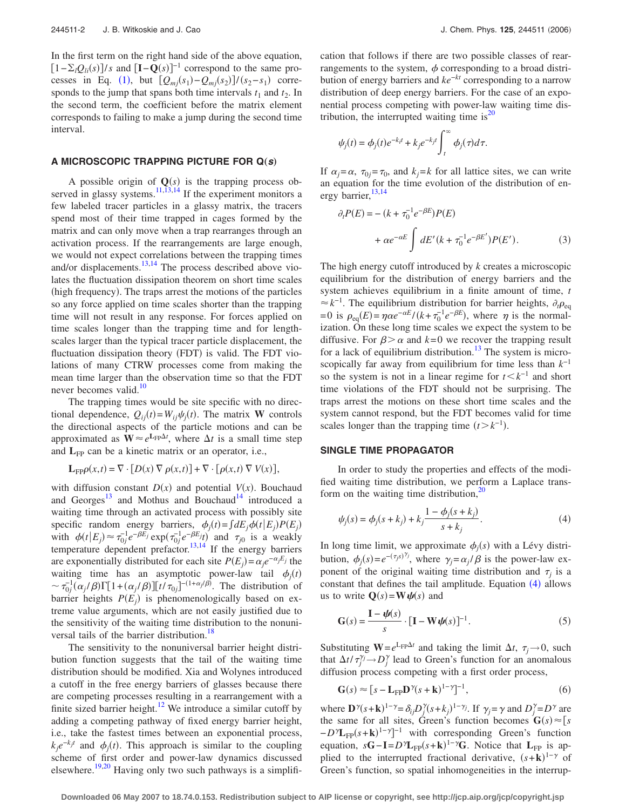In the first term on the right hand side of the above equation,  $[1-\sum_{i}Q_{i}(s)]/s$  and  $[I-Q(s)]^{-1}$  correspond to the same pro-cesses in Eq. ([1](#page-0-0)), but  $[Q_{mj}(s_1) - Q_{mj}(s_2)]/(s_2 - s_1)$  corresponds to the jump that spans both time intervals  $t_1$  and  $t_2$ . In the second term, the coefficient before the matrix element corresponds to failing to make a jump during the second time interval.

# A MICROSCOPIC TRAPPING PICTURE FOR  $Q(s)$

A possible origin of  $Q(s)$  is the trapping process ob-served in glassy systems.<sup>11,[13](#page-4-9)[,14](#page-4-5)</sup> If the experiment monitors a few labeled tracer particles in a glassy matrix, the tracers spend most of their time trapped in cages formed by the matrix and can only move when a trap rearranges through an activation process. If the rearrangements are large enough, we would not expect correlations between the trapping times and/or displacements.<sup>13[,14](#page-4-5)</sup> The process described above violates the fluctuation dissipation theorem on short time scales (high frequency). The traps arrest the motions of the particles so any force applied on time scales shorter than the trapping time will not result in any response. For forces applied on time scales longer than the trapping time and for lengthscales larger than the typical tracer particle displacement, the fluctuation dissipation theory (FDT) is valid. The FDT violations of many CTRW processes come from making the mean time larger than the observation time so that the FDT never becomes valid.<sup>10</sup>

The trapping times would be site specific with no directional dependence,  $Q_{ij}(t) = W_{ij}\psi_j(t)$ . The matrix **W** controls the directional aspects of the particle motions and can be approximated as  $W \approx e^{L_{FP}\Delta t}$ , where  $\Delta t$  is a small time step and  $L_{FP}$  can be a kinetic matrix or an operator, i.e.,

$$
\mathbf{L}_{\mathrm{FP}}\rho(x,t) = \nabla \cdot [D(x) \nabla \rho(x,t)] + \nabla \cdot [\rho(x,t) \nabla V(x)],
$$

with diffusion constant  $D(x)$  and potential  $V(x)$ . Bouchaud and Georges<sup>13</sup> and Mothus and Bouchaud<sup>14</sup> introduced a waiting time through an activated process with possibly site specific random energy barriers,  $\phi_j(t) = \int dE_j \phi(t | E_j) P(E_j)$ with  $\phi(t|E_j) \approx \tau_{0j}^{-1} e^{-\beta E_j} \exp(\tau_{0j}^{-1} e^{-\beta E_j} t)$  and  $\tau_{j0}$  is a weakly temperature dependent prefactor.<sup>13,[14](#page-4-5)</sup> If the energy barriers are exponentially distributed for each site  $P(E_j) = \alpha_j e^{-\alpha_j E_j}$  the waiting time has an asymptotic power-law tail  $\phi_j(t)$  $\sim \tau_{0j}^{-1}(\alpha_j/\beta)\Gamma[1+(\alpha_j/\beta)][t/\tau_{0j}]^{-(1+\alpha_j/\beta)}$ . The distribution of barrier heights  $P(E_j)$  is phenomenologically based on extreme value arguments, which are not easily justified due to the sensitivity of the waiting time distribution to the nonuniversal tails of the barrier distribution.<sup>18</sup>

The sensitivity to the nonuniversal barrier height distribution function suggests that the tail of the waiting time distribution should be modified. Xia and Wolynes introduced a cutoff in the free energy barriers of glasses because there are competing processes resulting in a rearrangement with a finite sized barrier height.<sup>12</sup> We introduce a similar cutoff by adding a competing pathway of fixed energy barrier height, i.e., take the fastest times between an exponential process,  $k_j e^{-k_j t}$  and  $\phi_j(t)$ . This approach is similar to the coupling scheme of first order and power-law dynamics discussed elsewhere.<sup>19[,20](#page-4-12)</sup> Having only two such pathways is a simplification that follows if there are two possible classes of rearrangements to the system,  $\phi$  corresponding to a broad distribution of energy barriers and *ke*−*kt* corresponding to a narrow distribution of deep energy barriers. For the case of an exponential process competing with power-law waiting time distribution, the interrupted waiting time is $^{20}$ 

$$
\psi_j(t) = \phi_j(t)e^{-k_j t} + k_j e^{-k_j t} \int_t^{\infty} \phi_j(\tau) d\tau.
$$

If  $\alpha_j = \alpha$ ,  $\tau_{0j} = \tau_0$ , and  $k_j = k$  for all lattice sites, we can write an equation for the time evolution of the distribution of energy barrier,  $^{13,14}$  $^{13,14}$  $^{13,14}$ 

$$
\partial_t P(E) = -\left(k + \tau_0^{-1} e^{-\beta E}\right) P(E)
$$

$$
+ \alpha e^{-\alpha E} \int dE'(k + \tau_0^{-1} e^{-\beta E'}) P(E'). \tag{3}
$$

The high energy cutoff introduced by *k* creates a microscopic equilibrium for the distribution of energy barriers and the system achieves equilibrium in a finite amount of time, *t*  $\approx k^{-1}$ . The equilibrium distribution for barrier heights,  $\partial_t \rho_{eq}$  $= 0$  is  $\rho_{eq}(E) = \eta \alpha e^{-\alpha E} / (k + \tau_0^{-1} e^{-\beta E})$ , where  $\eta$  is the normalization. On these long time scales we expect the system to be diffusive. For  $\beta > \alpha$  and  $k=0$  we recover the trapping result for a lack of equilibrium distribution.<sup>13</sup> The system is microscopically far away from equilibrium for time less than *k*−1 so the system is not in a linear regime for  $t < k^{-1}$  and short time violations of the FDT should not be surprising. The traps arrest the motions on these short time scales and the system cannot respond, but the FDT becomes valid for time scales longer than the trapping time  $(t > k^{-1})$ .

#### **SINGLE TIME PROPAGATOR**

In order to study the properties and effects of the modified waiting time distribution, we perform a Laplace transform on the waiting time distribution, $^{20}$ 

<span id="page-1-0"></span>
$$
\psi_j(s) = \phi_j(s + k_j) + k_j \frac{1 - \phi_j(s + k_j)}{s + k_j}.
$$
\n(4)

In long time limit, we approximate  $\phi_j(s)$  with a Lévy distribution,  $\phi_j(s) = e^{-(\tau_j s)^{\gamma_j}}$ , where  $\gamma_j = \alpha_j/\beta$  is the power-law exponent of the original waiting time distribution and  $\tau_i$  is a constant that defines the tail amplitude. Equation  $(4)$  $(4)$  $(4)$  allows us to write  $\mathbf{Q}(s) = \mathbf{W}\psi(s)$  and

<span id="page-1-1"></span>
$$
\mathbf{G}(s) = \frac{\mathbf{I} - \boldsymbol{\psi}(s)}{s} \cdot [\mathbf{I} - \mathbf{W}\boldsymbol{\psi}(s)]^{-1}.
$$
 (5)

Substituting  $W = e^{L_{FP}\Delta t}$  and taking the limit  $\Delta t$ ,  $\tau_i \rightarrow 0$ , such that  $\Delta t / \tau_j^{\gamma_j} \rightarrow D_j^{\gamma}$  lead to Green's function for an anomalous diffusion process competing with a first order process,

<span id="page-1-2"></span>
$$
\mathbf{G}(s) \approx [s - \mathbf{L}_{\text{FP}} \mathbf{D}^{\gamma} (s + \mathbf{k})^{1 - \gamma}]^{-1},\tag{6}
$$

where  $\mathbf{D}^{\gamma}(s+\mathbf{k})^{1-\gamma} = \delta_{ij}D^{\gamma}_{j}(s+k_{j})^{1-\gamma_{j}}$ . If  $\gamma_{j} = \gamma$  and  $D^{\gamma}_{j} = D^{\gamma}$  are the same for all sites, Green's function becomes  $\mathbf{G}(s) \approx [s]$  $-D^{\gamma}L_{FP}(s+k)^{1-\gamma}$ <sup>-1</sup> with corresponding Green's function equation,  $s\mathbf{G} - \mathbf{I} = D^{\gamma}\mathbf{L}_{FP}(s+\mathbf{k})^{1-\gamma}\mathbf{G}$ . Notice that  $\mathbf{L}_{FP}$  is applied to the interrupted fractional derivative,  $(s+k)^{1-\gamma}$  of Green's function, so spatial inhomogeneities in the interrup-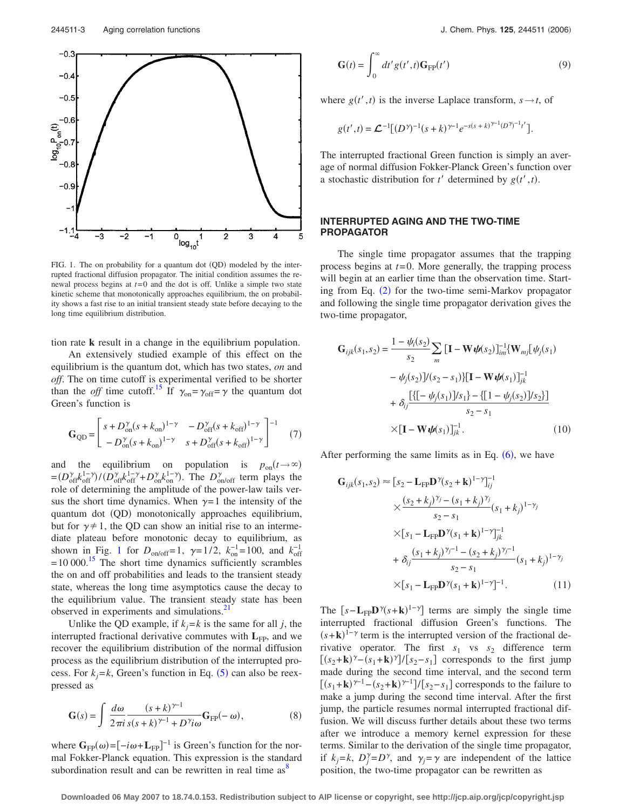<span id="page-2-0"></span>

FIG. 1. The on probability for a quantum dot (QD) modeled by the interrupted fractional diffusion propagator. The initial condition assumes the renewal process begins at *t*=0 and the dot is off. Unlike a simple two state kinetic scheme that monotonically approaches equilibrium, the on probability shows a fast rise to an initial transient steady state before decaying to the long time equilibrium distribution.

tion rate **k** result in a change in the equilibrium population.

An extensively studied example of this effect on the equilibrium is the quantum dot, which has two states, *on* and *off*. The on time cutoff is experimental verified to be shorter than the *off* time cutoff.<sup>15</sup> If  $\gamma_{on} = \gamma_{off} = \gamma$  the quantum dot Green's function is

$$
\mathbf{G}_{\text{QD}} = \begin{bmatrix} s + D_{\text{on}}^{\gamma} (s + k_{\text{on}})^{1-\gamma} & -D_{\text{off}}^{\gamma} (s + k_{\text{off}})^{1-\gamma} \\ -D_{\text{on}}^{\gamma} (s + k_{\text{on}})^{1-\gamma} & s + D_{\text{off}}^{\gamma} (s + k_{\text{off}})^{1-\gamma} \end{bmatrix}^{-1} \tag{7}
$$

and the equilibrium on population is  $p_{on}(t\rightarrow\infty)$  $=(D_{off}^{\gamma}k_{off}^{1-\gamma})/(D_{off}^{\gamma}k_{off}^{1-\gamma}+D_{on}^{\gamma}k_{on}^{1-\gamma})$ . The  $D_{on/off}^{\gamma}$  term plays the role of determining the amplitude of the power-law tails versus the short time dynamics. When  $\gamma=1$  the intensity of the quantum dot (QD) monotonically approaches equilibrium, but for  $\gamma \neq 1$ , the QD can show an initial rise to an intermediate plateau before monotonic decay to equilibrium, as shown in Fig. [1](#page-2-0) for  $D_{\text{on/off}}=1$ ,  $\gamma=1/2$ ,  $k_{\text{on}}^{-1}=100$ , and  $k_{\text{off}}^{-1}$  $=10,000$ .<sup>15</sup> The short time dynamics sufficiently scrambles the on and off probabilities and leads to the transient steady state, whereas the long time asymptotics cause the decay to the equilibrium value. The transient steady state has been observed in experiments and simulations.<sup>2</sup>

Unlike the QD example, if  $k_j = k$  is the same for all *j*, the interrupted fractional derivative commutes with  $L_{FP}$ , and we recover the equilibrium distribution of the normal diffusion process as the equilibrium distribution of the interrupted process. For  $k_j = k$ , Green's function in Eq. ([5](#page-1-1)) can also be reexpressed as

$$
\mathbf{G}(s) = \int \frac{d\omega}{2\pi i} \frac{(s+k)^{\gamma-1}}{s(s+k)^{\gamma-1} + D^{\gamma}i\omega} \mathbf{G}_{\text{FP}}(-\omega), \tag{8}
$$

where  $\mathbf{G}_{FP}(\omega) = [-i\omega + \mathbf{L}_{FP}]^{-1}$  is Green's function for the normal Fokker-Planck equation. This expression is the standard subordination result and can be rewritten in real time  $as<sup>8</sup>$ 

$$
\mathbf{G}(t) = \int_0^\infty dt' g(t', t) \mathbf{G}_{\text{FP}}(t')
$$
 (9)

where  $g(t', t)$  is the inverse Laplace transform,  $s \rightarrow t$ , of

$$
g(t',t) = \mathcal{L}^{-1}[(D^{\gamma})^{-1}(s+k)^{\gamma-1}e^{-s(s+k)^{\gamma-1}(D^{\gamma})^{-1}t'}].
$$

The interrupted fractional Green function is simply an average of normal diffusion Fokker-Planck Green's function over a stochastic distribution for  $t'$  determined by  $g(t', t)$ .

## **INTERRUPTED AGING AND THE TWO-TIME PROPAGATOR**

The single time propagator assumes that the trapping process begins at *t*=0. More generally, the trapping process will begin at an earlier time than the observation time. Start-ing from Eq. ([2](#page-0-0)) for the two-time semi-Markov propagator and following the single time propagator derivation gives the two-time propagator,

$$
\mathbf{G}_{ijk}(s_1, s_2) = \frac{1 - \psi_i(s_2)}{s_2} \sum_m \left[\mathbf{I} - \mathbf{W} \boldsymbol{\psi}(s_2)\right]_{im}^{-1} \{\mathbf{W}_{mj}[\psi_j(s_1) - \psi_j(s_2)]/(s_2 - s_1)\} \left[\mathbf{I} - \mathbf{W} \boldsymbol{\psi}(s_1)\right]_{jk}^{-1} + \delta_{ij} \frac{\left[\{\left[-\psi_j(s_1)\right]/s_1\} - \{\left[1 - \psi_j(s_2)\right]/s_2\}\right]}{s_2 - s_1} \times \left[\mathbf{I} - \mathbf{W} \boldsymbol{\psi}(s_1)\right]_{jk}^{-1}.
$$
 (10)

After performing the same limits as in Eq.  $(6)$  $(6)$  $(6)$ , we have

$$
\mathbf{G}_{ijk}(s_1, s_2) \approx [s_2 - \mathbf{L}_{FP} \mathbf{D}^{\gamma}(s_2 + \mathbf{k})^{1-\gamma}]_{ij}^{-1}
$$
  
\n
$$
\times \frac{(s_2 + k_j)^{\gamma_j} - (s_1 + k_j)^{\gamma_j}}{s_2 - s_1} (s_1 + k_j)^{1-\gamma_j}
$$
  
\n
$$
\times [s_1 - \mathbf{L}_{FP} \mathbf{D}^{\gamma}(s_1 + \mathbf{k})^{1-\gamma}]_{jk}^{-1}
$$
  
\n
$$
+ \delta_{ij} \frac{(s_1 + k_j)^{\gamma_j - 1} - (s_2 + k_j)^{\gamma_j - 1}}{s_2 - s_1} (s_1 + k_j)^{1-\gamma_j}
$$
  
\n
$$
\times [s_1 - \mathbf{L}_{FP} \mathbf{D}^{\gamma}(s_1 + \mathbf{k})^{1-\gamma}]^{-1}.
$$
 (11)

The  $[s - L<sub>FP</sub>D<sup>\gamma</sup>(s + k)<sup>1–\gamma</sup>]$  terms are simply the single time interrupted fractional diffusion Green's functions. The  $(s+k)^{1-\gamma}$  term is the interrupted version of the fractional derivative operator. The first  $s_1$  vs  $s_2$  difference term  $[(s_2+k)^{\gamma}-(s_1+k)^{\gamma}]/[s_2-s_1]$  corresponds to the first jump made during the second time interval, and the second term  $[(s_1 + \mathbf{k})^{\gamma - 1} - (s_2 + \mathbf{k})^{\gamma - 1}]/[s_2 - s_1]$  corresponds to the failure to make a jump during the second time interval. After the first jump, the particle resumes normal interrupted fractional diffusion. We will discuss further details about these two terms after we introduce a memory kernel expression for these terms. Similar to the derivation of the single time propagator, if  $k_j = k$ ,  $D_j^{\gamma} = D^{\gamma}$ , and  $\gamma_j = \gamma$  are independent of the lattice position, the two-time propagator can be rewritten as

**Downloaded 06 May 2007 to 18.74.0.153. Redistribution subject to AIP license or copyright, see http://jcp.aip.org/jcp/copyright.jsp**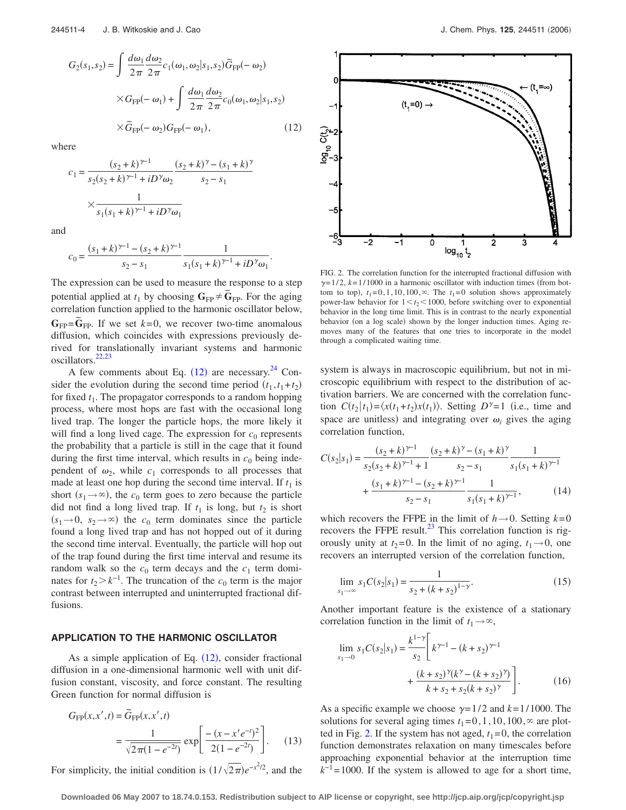<span id="page-3-0"></span>
$$
G_2(s_1, s_2) = \int \frac{d\omega_1}{2\pi} \frac{d\omega_2}{2\pi} c_1(\omega_1, \omega_2 | s_1, s_2) \widetilde{G}_{FP}(-\omega_2)
$$

$$
\times G_{FP}(-\omega_1) + \int \frac{d\omega_1}{2\pi} \frac{d\omega_2}{2\pi} c_0(\omega_1, \omega_2 | s_1, s_2)
$$

$$
\times \widetilde{G}_{FP}(-\omega_2) G_{FP}(-\omega_1), \qquad (12)
$$

where

$$
c_1 = \frac{(s_2 + k)^{\gamma - 1}}{s_2(s_2 + k)^{\gamma - 1} + iD^{\gamma}\omega_2} \frac{(s_2 + k)^{\gamma} - (s_1 + k)^{\gamma}}{s_2 - s_1}
$$

$$
\times \frac{1}{s_1(s_1 + k)^{\gamma - 1} + iD^{\gamma}\omega_1}
$$

and

$$
c_0 = \frac{(s_1 + k)^{\gamma - 1} - (s_2 + k)^{\gamma - 1}}{s_2 - s_1} \frac{1}{s_1(s_1 + k)^{\gamma - 1} + iD^{\gamma} \omega_1}.
$$

The expression can be used to measure the response to a step potential applied at  $t_1$  by choosing  $G_{FP} \neq \tilde{G}_{FP}$ . For the aging correlation function applied to the harmonic oscillator below,  $G_{FP} = \tilde{G}_{FP}$ . If we set  $k=0$ , we recover two-time anomalous diffusion, which coincides with expressions previously derived for translationally invariant systems and harmonic oscillators.<sup>22,[23](#page-4-15)</sup>

A few comments about Eq.  $(12)$  $(12)$  $(12)$  are necessary.<sup>[24](#page-4-16)</sup> Consider the evolution during the second time period  $(t_1, t_1+t_2)$ for fixed *t*1. The propagator corresponds to a random hopping process, where most hops are fast with the occasional long lived trap. The longer the particle hops, the more likely it will find a long lived cage. The expression for  $c_0$  represents the probability that a particle is still in the cage that it found during the first time interval, which results in  $c_0$  being independent of  $\omega_2$ , while  $c_1$  corresponds to all processes that made at least one hop during the second time interval. If  $t_1$  is short  $(s_1 \rightarrow \infty)$ , the  $c_0$  term goes to zero because the particle did not find a long lived trap. If  $t_1$  is long, but  $t_2$  is short  $(s_1 \rightarrow 0, s_2 \rightarrow \infty)$  the *c*<sub>0</sub> term dominates since the particle found a long lived trap and has not hopped out of it during the second time interval. Eventually, the particle will hop out of the trap found during the first time interval and resume its random walk so the  $c_0$  term decays and the  $c_1$  term dominates for  $t_2 > k^{-1}$ . The truncation of the  $c_0$  term is the major contrast between interrupted and uninterrupted fractional diffusions.

## **APPLICATION TO THE HARMONIC OSCILLATOR**

As a simple application of Eq.  $(12)$  $(12)$  $(12)$ , consider fractional diffusion in a one-dimensional harmonic well with unit diffusion constant, viscosity, and force constant. The resulting Green function for normal diffusion is

$$
G_{\rm FP}(x, x', t) = \tilde{G}_{\rm FP}(x, x', t)
$$
  
= 
$$
\frac{1}{\sqrt{2\pi(1 - e^{-2t})}} \exp\left[\frac{-(x - x'e^{-t})^2}{2(1 - e^{-2t})}\right].
$$
 (13)

For simplicity, the initial condition is  $(1/\sqrt{2\pi})e^{-x^2/2}$ , and the

<span id="page-3-1"></span>

FIG. 2. The correlation function for the interrupted fractional diffusion with  $\gamma$ =1/2,  $k$ =1/1000 in a harmonic oscillator with induction times (from bottom to top),  $t_1 = 0, 1, 10, 100, \infty$ . The  $t_1 = 0$  solution shows approximately power-law behavior for  $1 \lt t_2 \lt 1000$ , before switching over to exponential behavior in the long time limit. This is in contrast to the nearly exponential behavior (on a log scale) shown by the longer induction times. Aging removes many of the features that one tries to incorporate in the model through a complicated waiting time.

system is always in macroscopic equilibrium, but not in microscopic equilibrium with respect to the distribution of activation barriers. We are concerned with the correlation function  $C(t_2 | t_1) = \langle x(t_1 + t_2)x(t_1) \rangle$ . Setting  $D^{\gamma} = 1$  (i.e., time and space are unitless) and integrating over  $\omega_i$  gives the aging correlation function,

$$
C(s_2|s_1) = \frac{(s_2 + k)^{\gamma - 1}}{s_2(s_2 + k)^{\gamma - 1} + 1} \frac{(s_2 + k)^{\gamma} - (s_1 + k)^{\gamma}}{s_2 - s_1} \frac{1}{s_1(s_1 + k)^{\gamma - 1}} + \frac{(s_1 + k)^{\gamma - 1} - (s_2 + k)^{\gamma - 1}}{s_2 - s_1} \frac{1}{s_1(s_1 + k)^{\gamma - 1}},
$$
(14)

which recovers the FFPE in the limit of  $h \rightarrow 0$ . Setting  $k=0$ recovers the FFPE result. $^{23}$  This correlation function is rigorously unity at  $t_2=0$ . In the limit of no aging,  $t_1\rightarrow 0$ , one recovers an interrupted version of the correlation function,

$$
\lim_{s_1 \to \infty} s_1 C(s_2 | s_1) = \frac{1}{s_2 + (k + s_2)^{1 - \gamma}}.
$$
\n(15)

Another important feature is the existence of a stationary correlation function in the limit of  $t_1 \rightarrow \infty$ ,

<span id="page-3-2"></span>
$$
\lim_{s_1 \to 0} s_1 C(s_2|s_1) = \frac{k^{1-\gamma}}{s_2} \left[ k^{\gamma - 1} - (k + s_2)^{\gamma - 1} + \frac{(k + s_2)^{\gamma} (k^{\gamma} - (k + s_2)^{\gamma})}{k + s_2 + s_2 (k + s_2)^{\gamma}} \right].
$$
\n(16)

As a specific example we choose  $\gamma = 1/2$  and  $k = 1/1000$ . The solutions for several aging times  $t_1=0,1,10,100, \infty$  are plot-ted in Fig. [2.](#page-3-1) If the system has not aged,  $t_1=0$ , the correlation function demonstrates relaxation on many timescales before approaching exponential behavior at the interruption time  $k^{-1}$ =1000. If the system is allowed to age for a short time,

**Downloaded 06 May 2007 to 18.74.0.153. Redistribution subject to AIP license or copyright, see http://jcp.aip.org/jcp/copyright.jsp**